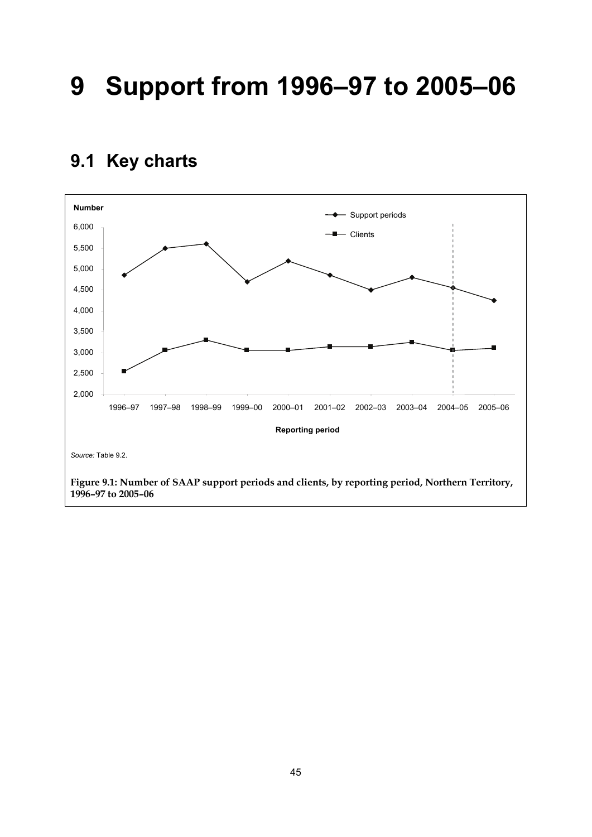# **9 Support from 1996–97 to 2005–06**

### **9.1 Key charts**

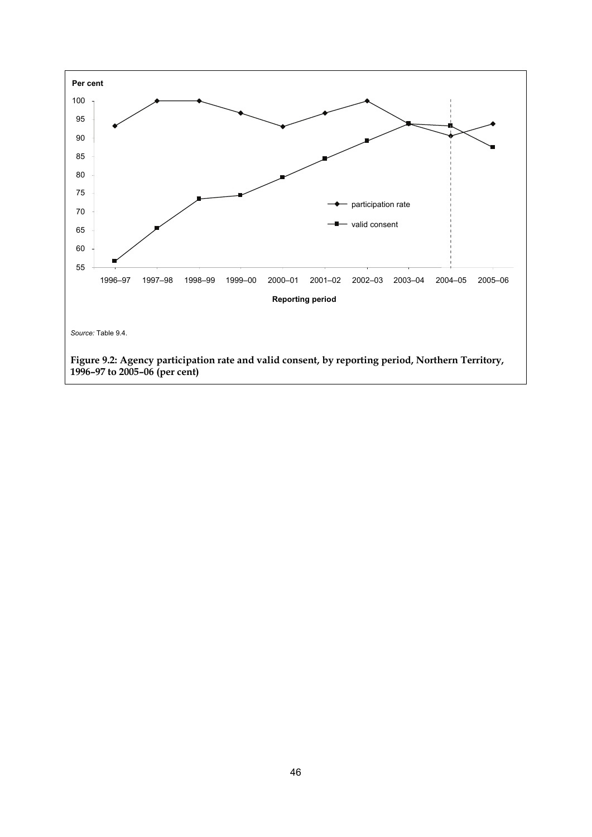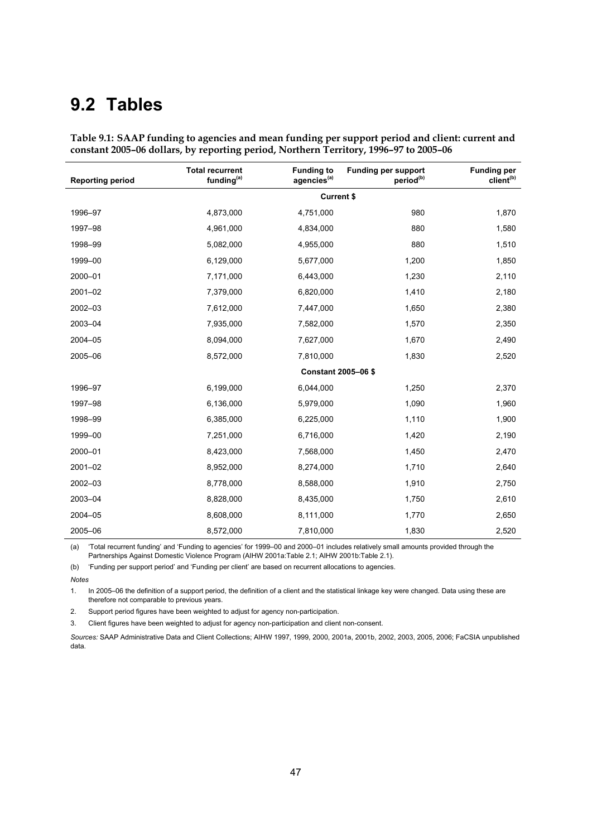## **9.2 Tables**

| <b>Reporting period</b> | <b>Total recurrent</b><br>funding <sup>(a)</sup> | <b>Funding to</b><br>agencies <sup>(a)</sup> | <b>Funding per support</b><br>period <sup>(b)</sup> | <b>Funding per</b><br>client <sup>(b)</sup> |  |  |  |  |  |
|-------------------------|--------------------------------------------------|----------------------------------------------|-----------------------------------------------------|---------------------------------------------|--|--|--|--|--|
|                         | <b>Current \$</b>                                |                                              |                                                     |                                             |  |  |  |  |  |
| 1996-97                 | 4,873,000                                        | 4,751,000                                    | 980                                                 | 1,870                                       |  |  |  |  |  |
| 1997-98                 | 4,961,000                                        | 4,834,000                                    | 880                                                 | 1,580                                       |  |  |  |  |  |
| 1998-99                 | 5,082,000                                        | 4,955,000                                    | 880                                                 | 1,510                                       |  |  |  |  |  |
| 1999-00                 | 6,129,000                                        | 5,677,000                                    | 1,200                                               | 1,850                                       |  |  |  |  |  |
| 2000-01                 | 7,171,000                                        | 6,443,000                                    | 1,230                                               | 2,110                                       |  |  |  |  |  |
| $2001 - 02$             | 7,379,000                                        | 6,820,000                                    | 1,410                                               | 2,180                                       |  |  |  |  |  |
| 2002-03                 | 7,612,000                                        | 7,447,000                                    | 1,650                                               | 2,380                                       |  |  |  |  |  |
| 2003-04                 | 7,935,000                                        | 7,582,000                                    | 1,570                                               | 2,350                                       |  |  |  |  |  |
| 2004-05                 | 8,094,000                                        | 7,627,000                                    | 1,670                                               | 2,490                                       |  |  |  |  |  |
| 2005-06                 | 8,572,000                                        | 7,810,000                                    | 1,830                                               | 2,520                                       |  |  |  |  |  |
|                         |                                                  | Constant 2005-06 \$                          |                                                     |                                             |  |  |  |  |  |
| 1996-97                 | 6,199,000                                        | 6,044,000                                    | 1,250                                               | 2,370                                       |  |  |  |  |  |
| 1997-98                 | 6,136,000                                        | 5,979,000                                    | 1,090                                               | 1,960                                       |  |  |  |  |  |
| 1998-99                 | 6,385,000                                        | 6,225,000                                    | 1,110                                               | 1,900                                       |  |  |  |  |  |
| 1999-00                 | 7,251,000                                        | 6,716,000                                    | 1,420                                               | 2,190                                       |  |  |  |  |  |
| 2000-01                 | 8,423,000                                        | 7,568,000                                    | 1,450                                               | 2,470                                       |  |  |  |  |  |
| $2001 - 02$             | 8,952,000                                        | 8,274,000                                    | 1,710                                               | 2,640                                       |  |  |  |  |  |
| 2002-03                 | 8,778,000                                        | 8,588,000                                    | 1,910                                               | 2,750                                       |  |  |  |  |  |
| 2003-04                 | 8,828,000                                        | 8,435,000                                    | 1,750                                               | 2,610                                       |  |  |  |  |  |
| 2004-05                 | 8,608,000                                        | 8,111,000                                    | 1,770                                               | 2,650                                       |  |  |  |  |  |
| 2005-06                 | 8,572,000                                        | 7,810,000                                    | 1,830                                               | 2,520                                       |  |  |  |  |  |

**Table 9.1: SAAP funding to agencies and mean funding per support period and client: current and constant 2005–06 dollars, by reporting period, Northern Territory, 1996–97 to 2005–06** 

(a) 'Total recurrent funding' and 'Funding to agencies' for 1999–00 and 2000–01 includes relatively small amounts provided through the Partnerships Against Domestic Violence Program (AIHW 2001a:Table 2.1; AIHW 2001b:Table 2.1).

(b) 'Funding per support period' and 'Funding per client' are based on recurrent allocations to agencies.

*Notes* 

1. In 2005–06 the definition of a support period, the definition of a client and the statistical linkage key were changed. Data using these are therefore not comparable to previous years.

2. Support period figures have been weighted to adjust for agency non-participation.

3. Client figures have been weighted to adjust for agency non-participation and client non-consent.

*Sources:* SAAP Administrative Data and Client Collections; AIHW 1997, 1999, 2000, 2001a, 2001b, 2002, 2003, 2005, 2006; FaCSIA unpublished data.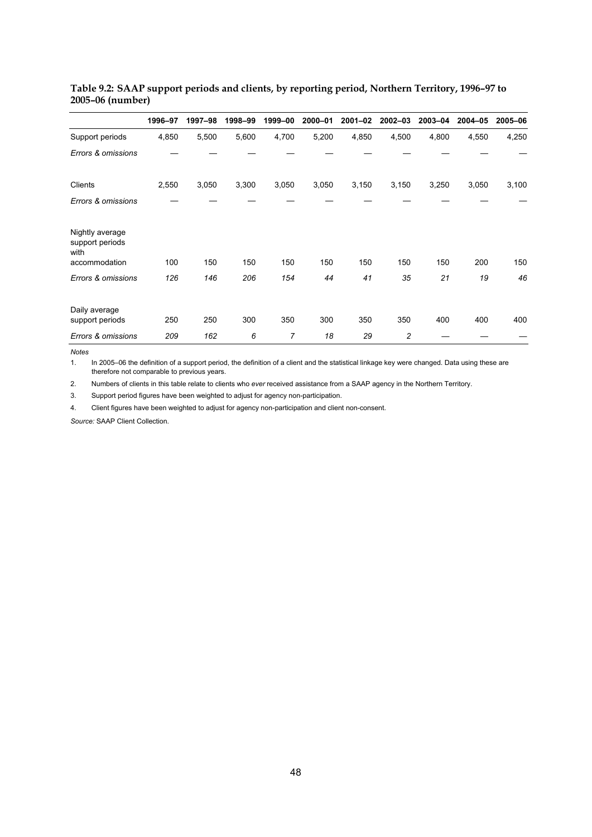|                                            | 1996-97 | 1997-98 | 1998-99 | 1999-00 | 2000-01 | 2001-02 | 2002-03        | 2003-04 | 2004-05 | 2005-06 |
|--------------------------------------------|---------|---------|---------|---------|---------|---------|----------------|---------|---------|---------|
| Support periods                            | 4,850   | 5,500   | 5,600   | 4,700   | 5,200   | 4,850   | 4,500          | 4,800   | 4,550   | 4,250   |
| Errors & omissions                         |         |         |         |         |         |         |                |         |         |         |
| Clients                                    | 2,550   | 3,050   | 3,300   | 3,050   | 3,050   | 3,150   | 3,150          | 3,250   | 3,050   | 3,100   |
| Errors & omissions                         |         |         |         |         |         |         |                |         |         |         |
| Nightly average<br>support periods<br>with |         |         |         |         |         |         |                |         |         |         |
| accommodation                              | 100     | 150     | 150     | 150     | 150     | 150     | 150            | 150     | 200     | 150     |
| Errors & omissions                         | 126     | 146     | 206     | 154     | 44      | 41      | 35             | 21      | 19      | 46      |
| Daily average<br>support periods           | 250     | 250     | 300     | 350     | 300     | 350     | 350            | 400     | 400     | 400     |
| Errors & omissions                         | 209     | 162     | 6       | 7       | 18      | 29      | $\overline{c}$ |         |         |         |

### **Table 9.2: SAAP support periods and clients, by reporting period, Northern Territory, 1996–97 to 2005–06 (number)**

*Notes* 

1. In 2005–06 the definition of a support period, the definition of a client and the statistical linkage key were changed. Data using these are therefore not comparable to previous years.

2. Numbers of clients in this table relate to clients who *ever* received assistance from a SAAP agency in the Northern Territory.

3. Support period figures have been weighted to adjust for agency non-participation.

4. Client figures have been weighted to adjust for agency non-participation and client non-consent.

*Source:* SAAP Client Collection.